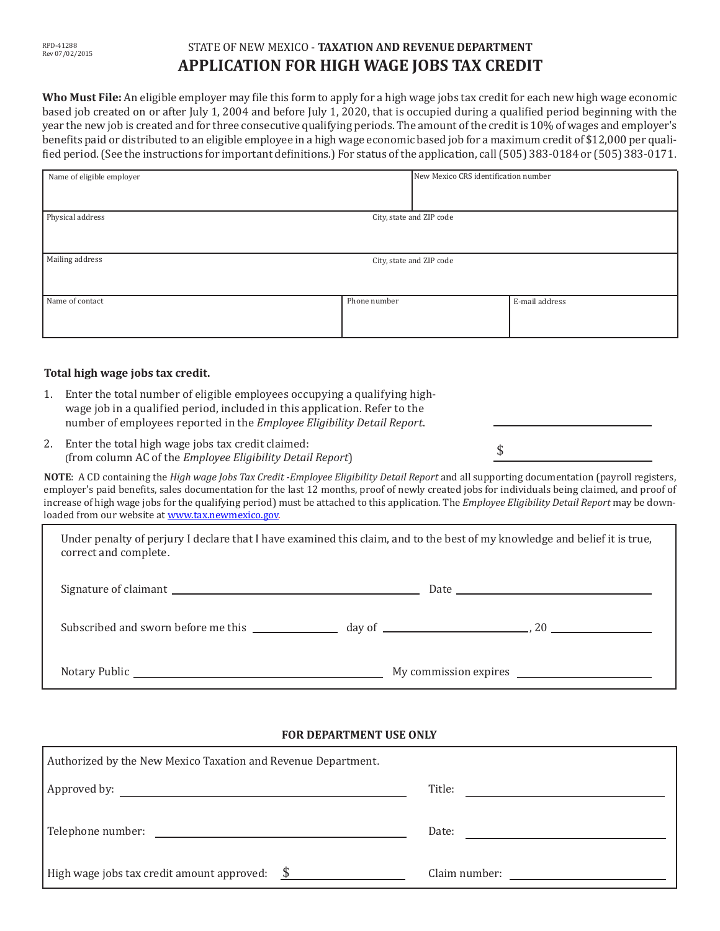| RPD-41288      |
|----------------|
| Rev 07/02/2015 |

## STATE OF NEW MEXICO - **TAXATION AND REVENUE DEPARTMENT APPLICATION FOR HIGH WAGE JOBS TAX CREDIT**

**Who Must File:** An eligible employer may file this form to apply for a high wage jobs tax credit for each new high wage economic based job created on or after July 1, 2004 and before July 1, 2020, that is occupied during a qualified period beginning with the year the new job is created and for three consecutive qualifying periods. The amount ofthe creditis 10% of wages and employer's benefits paid or distributed to an eligible employee in a high wage economic based job for a maximum credit of \$12,000 per qualified period. (See the instructions for important definitions.) For status of the application, call (505) 383-0184 or (505) 383-0171.

| Name of eligible employer |                          | New Mexico CRS identification number |                |
|---------------------------|--------------------------|--------------------------------------|----------------|
| Physical address          |                          | City, state and ZIP code             |                |
| Mailing address           | City, state and ZIP code |                                      |                |
| Name of contact           | Phone number             |                                      | E-mail address |

### **Total high wage jobs tax credit.**

- 1. Enter the total number of eligible employees occupying a qualifying high- wage job in a qualified period, included in this application. Refer to the number of employees reported in the *Employee Eligibility Detail Report*.
- 2. Enter the total high wage jobs tax credit claimed: (from column AC of the *Employee Eligibility Detail Report*)

NOTE: A CD containing the *High wage Jobs Tax Credit -Employee Eligibility Detail Report* and all supporting documentation (payroll registers, employer's paid benefits, sales documentation for the last 12 months, proof of newly created jobs for individuals being claimed, and proof of increase of high wage jobs for the qualifying period) must be attached to this application. The *Employee Eligibility Detail Report* may be downloaded from our website at www.tax.newmexico.gov.

\$

| Under penalty of perjury I declare that I have examined this claim, and to the best of my knowledge and belief it is true,<br>correct and complete. |  |
|-----------------------------------------------------------------------------------------------------------------------------------------------------|--|
|                                                                                                                                                     |  |
|                                                                                                                                                     |  |
|                                                                                                                                                     |  |

#### **FOR DEPARTMENT USE ONLY**

| Authorized by the New Mexico Taxation and Revenue Department.                                                                                                                                                                  |               |  |  |
|--------------------------------------------------------------------------------------------------------------------------------------------------------------------------------------------------------------------------------|---------------|--|--|
|                                                                                                                                                                                                                                | Title:        |  |  |
| Telephone number: The contract of the contract of the contract of the contract of the contract of the contract of the contract of the contract of the contract of the contract of the contract of the contract of the contract | Date:         |  |  |
| High wage jobs tax credit amount approved: $\frac{\$}{\$}$                                                                                                                                                                     | Claim number: |  |  |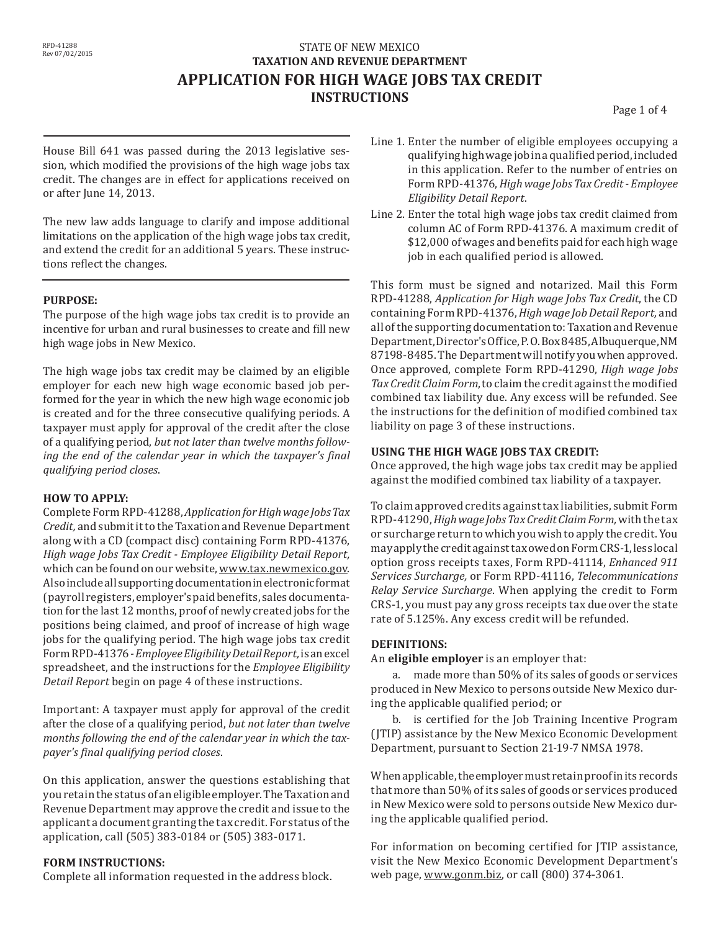## **STATE OF NEW MEXICO TAXATION AND REVENUE DEPARTMENT APPLICATION FOR HIGH WAGE JOBS TAX CREDIT INSTRUCTIONS**

Page 1 of 4

House Bill 641 was passed during the 2013 legislative session, which modified the provisions of the high wage jobs tax credit. The changes are in effect for applications received on or after June 14, 2013.

The new law adds language to clarify and impose additional limitations on the application of the high wage jobs tax credit, and extend the credit for an additional 5 years. These instructions reflect the changes.

### **PURPOSE:**

The purpose of the high wage jobs tax credit is to provide an incentive for urban and rural businesses to create and fill new high wage jobs in New Mexico.

The high wage jobs tax credit may be claimed by an eligible employer for each new high wage economic based job performed for the year in which the new high wage economic job is created and for the three consecutive qualifying periods. A taxpayer must apply for approval of the credit after the close of a qualifying period, *but not later than twelve months following the end of the calendar year in which the taxpayer's final qualifying period closes*.

### **HOW TO APPLY:**

CompleteFormRPD-41288,*Application for High wage Jobs Tax Credit,* and submit it to the Taxation and Revenue Department along with a CD (compact disc) containing Form RPD-41376, *High wage Jobs Tax Credit - Employee Eligibility Detail Report,* which can be found on our website, www.tax.newmexico.gov. Alsoincludeallsupportingdocumentationinelectronicformat (payroll registers,employer'spaidbenefits, salesdocumentation for the last 12 months, proof of newly created jobs for the positions being claimed, and proof of increase of high wage jobs for the qualifying period. The high wage jobs tax credit FormRPD-41376*- Employee Eligibility Detail Report,* is an excel spreadsheet, and the instructions for the *Employee Eligibility Detail Report* begin on page 4 of these instructions.

Important: A taxpayer must apply for approval of the credit after the close of a qualifying period, *but not later than twelve months following the end of the calendar year in which the taxpayer's final qualifying period closes*.

On this application, answer the questions establishing that youretainthe status of aneligible employer.TheTaxationand Revenue Department may approve the credit and issue to the applicant a document granting the tax credit. For status ofthe application, call (505) 383-0184 or (505) 383-0171.

### **FORM INSTRUCTIONS:**

Complete all information requested in the address block.

- Line 1. Enter the number of eligible employees occupying a qualifyinghighwagejobinaqualifiedperiod,included in this application. Refer to the number of entries on Form RPD-41376,*High wage Jobs Tax Credit - Employee Eligibility Detail Report*.
- Line 2. Enter the total high wage jobs tax credit claimed from column AC of Form RPD-41376. A maximum credit of \$12,000 ofwages and benefits paid for each highwage job in each qualified period is allowed.

This form must be signed and notarized. Mail this Form RPD-41288, *Application for High wage Jobs Tax Credit*, the CD containing Form RPD-41376,*High wage Job Detail Report,* and all of the supporting documentation to: Taxation and Revenue Department,Director'sOffice,P.O.Box8485,Albuquerque,NM 87198-8485. The Department will notify you when approved. Once approved, complete Form RPD-41290, *High wage Jobs Tax Credit Claim Form*,to claim the credit againstthe modified combined tax liability due. Any excess will be refunded. See the instructions for the definition of modified combined tax liability on page 3 of these instructions.

### **USING THE HIGH WAGE JOBS TAX CREDIT:**

Once approved, the high wage jobs tax credit may be applied against the modified combined tax liability of a taxpayer.

To claim approved credits against tax liabilities, submit Form RPD-41290,*High wage Jobs Tax Credit Claim Form,* with the tax or surcharge return towhich youwish to apply the credit. You mayapplythecreditagainsttaxowedonFormCRS-1,lesslocal option gross receipts taxes, Form RPD-41114, *Enhanced 911 Services Surcharge,* or Form RPD-41116, *Telecommunications Relay Service Surcharge*. When applying the credit to Form CRS-1, you must pay any gross receipts tax due over the state rate of 5.125%. Any excess credit will be refunded.

### **DEFINITIONS:**

An **eligible employer** is an employer that:

a. made more than 50% of its sales of goods or services produced in New Mexico to persons outside New Mexico during the applicable qualified period; or

b. is certified for the Job Training Incentive Program (JTIP) assistance by the New Mexico Economic Development Department, pursuant to Section 21-19-7 NMSA 1978.

When applicable, the employer must retain proof in its records that more than 50% of its sales of goods or services produced in New Mexico were sold to persons outside New Mexico during the applicable qualified period.

For information on becoming certified for JTIP assistance, visit the New Mexico Economic Development Department's web page, www.gonm.biz, or call (800) 374-3061.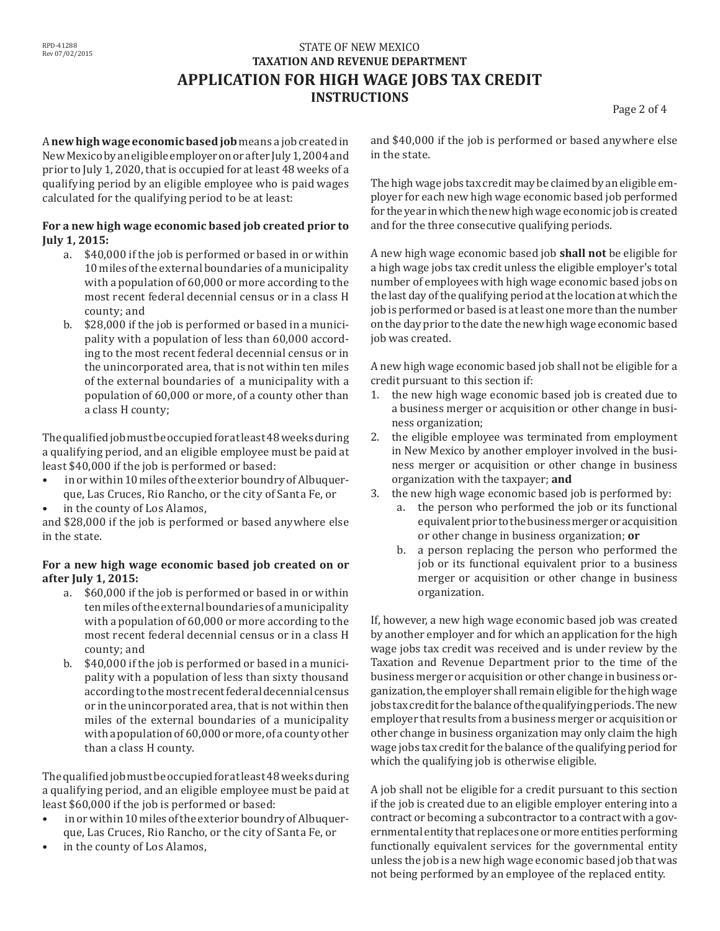## STATE OF NEW MEXICO **TAXATION AND REVENUE DEPARTMENT APPLICATION FOR HIGH WAGE JOBS TAX CREDIT INSTRUCTIONS**

Page 2 of 4

A **new high wage economic based job** means a job createdin NewMexicobyaneligibleemployeronorafter July1,2004and prior to July 1, 2020, that is occupied for at least 48 weeks of a qualifying period by an eligible employee who is paid wages calculated for the qualifying period to be at least:

#### **For a new high wage economic based job created prior to July 1, 2015:**

- a. \$40,000 if the job is performed or based in or within 10 miles of the external boundaries of a municipality with a population of 60,000 or more according to the most recent federal decennial census or in a class H county; and
- b. \$28,000 if the job is performed or based in a municipality with a population of less than 60,000 according to the most recent federal decennial census or in the unincorporated area, that is not within ten miles of the external boundaries of a municipality with a population of 60,000 or more, of a county other than a class H county;

Thequalifiedjobmustbeoccupiedforatleast48weeksduring a qualifying period, and an eligible employee must be paid at least \$40,000 if the job is performed or based:

- in or within 10 miles of the exterior boundry of Albuquerque, Las Cruces, Rio Rancho, or the city of Santa Fe, or
- in the county of Los Alamos,

and \$28,000 if the job is performed or based anywhere else in the state.

### **For a new high wage economic based job created on or after July 1, 2015:**

- a. \$60,000 if the job is performed or based in or within ten miles of the external boundaries of a municipality with a population of 60,000 or more according to the most recent federal decennial census or in a class H county; and
- b. \$40,000 if the job is performed or based in a municipality with a population of less than sixty thousand accordingtothemost recentfederaldecennialcensus or in the unincorporated area, that is not within then miles of the external boundaries of a municipality with a population of 60,000 or more, of a county other than a class H county.

Thequalifiedjobmustbeoccupiedforatleast48weeksduring a qualifying period, and an eligible employee must be paid at least \$60,000 if the job is performed or based:

- in or within 10 miles of the exterior boundry of Albuquerque, Las Cruces, Rio Rancho, or the city of Santa Fe, or
- in the county of Los Alamos,

and \$40,000 if the job is performed or based anywhere else in the state.

The high wage jobs tax credit may be claimed by an eligible employer for each new high wage economic based job performed for the year in which the new high wage economic job is created and for the three consecutive qualifying periods.

A new high wage economic based job **shall not** be eligible for a high wage jobs tax credit unless the eligible employer's total number of employees with high wage economic based jobs on the last day of the qualifying period at the location at which the job is performed or based is at least one more than the number on the day prior to the date the new high wage economic based job was created.

A new high wage economic based job shall not be eligible for a credit pursuant to this section if:

- 1. the new high wage economic based job is created due to a business merger or acquisition or other change in business organization;
- 2. the eligible employee was terminated from employment in New Mexico by another employer involved in the business merger or acquisition or other change in business organization with the taxpayer; **and**
- 3. the new high wage economic based job is performed by:
	- a. the person who performed the job or its functional equivalentprior tothebusinessmergeroracquisition or other change in business organization; **or**
	- b. a person replacing the person who performed the job or its functional equivalent prior to a business merger or acquisition or other change in business organization.

If, however, a new high wage economic based job was created by another employer and for which an application for the high wage jobs tax credit was received and is under review by the Taxation and Revenue Department prior to the time of the business merger or acquisition or other change in business organization, the employer shall remain eligible for the high wage jobs tax credit for the balance of the qualifying periods. The new employer that results from a business merger or acquisition or other change in business organization may only claim the high wage jobs tax credit for the balance of the qualifying period for which the qualifying job is otherwise eligible.

A job shall not be eligible for a credit pursuant to this section if the job is created due to an eligible employer entering into a contract or becoming a subcontractor to a contract with a governmental entity that replaces one or more entities performing functionally equivalent services for the governmental entity unless the job is a new high wage economic based job that was not being performed by an employee of the replaced entity.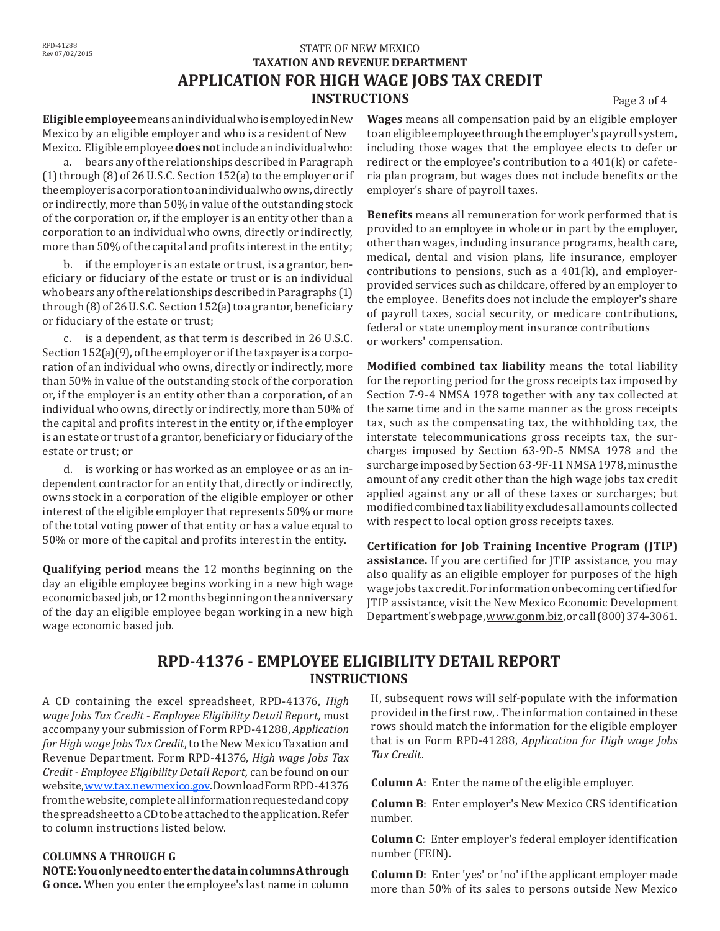## **STATE OF NEW MEXICO TAXATION AND REVENUE DEPARTMENT APPLICATION FOR HIGH WAGE JOBS TAX CREDIT INSTRUCTIONS** Page 3 of 4

**Eligible employee**meansanindividualwhoisemployedinNew Mexico by an eligible employer and who is a resident of New Mexico. Eligible employee**does not**include anindividualwho:

a. bears any of the relationships described in Paragraph  $(1)$  through  $(8)$  of 26 U.S.C. Section 152(a) to the employer or if theemployerisacorporationtoanindividualwhoowns,directly or indirectly, more than 50% in value ofthe outstanding stock of the corporation or, if the employer is an entity other than a corporation to an individual who owns, directly or indirectly, more than 50% of the capital and profits interest in the entity;

b. if the employer is an estate or trust, is a grantor, beneficiary or fiduciary of the estate or trust or is an individual who bears any of the relationships described in Paragraphs (1) through  $(8)$  of 26 U.S.C. Section 152(a) to a grantor, beneficiary or fiduciary of the estate or trust;

c. is a dependent, as that term is described in 26 U.S.C. Section 152(a)(9), of the employer or if the taxpayer is a corporation of an individual who owns, directly or indirectly, more than 50% in value of the outstanding stock of the corporation or, if the employer is an entity other than a corporation, of an individual who owns, directly or indirectly, more than 50% of the capital and profits interest in the entity or, if the employer is an estate or trust of a grantor, beneficiary or fiduciary of the estate or trust; or

d. is working or has worked as an employee or as an independent contractor for an entity that, directly or indirectly, owns stock in a corporation of the eligible employer or other interest of the eligible employer that represents 50% or more of the total voting power of that entity or has a value equal to 50% or more of the capital and profits interest in the entity.

**Qualifying period** means the 12 months beginning on the day an eligible employee begins working in a new high wage economicbasedjob,or12monthsbeginningontheanniversary of the day an eligible employee began working in a new high wage economic based job.

**Wages** means all compensation paid by an eligible employer toaneligible employee throughthe employer'spayroll system, including those wages that the employee elects to defer or redirect or the employee's contribution to a 401(k) or cafeteria plan program, but wages does not include benefits or the employer's share of payroll taxes.

**Benefits** means all remuneration for work performed that is provided to an employee in whole or in part by the employer, other than wages, including insurance programs, health care, medical, dental and vision plans, life insurance, employer contributions to pensions, such as a 401(k), and employerprovided services such as childcare, offered by an employer to the employee. Benefits does not include the employer's share of payroll taxes, social security, or medicare contributions, federal or state unemployment insurance contributions or workers' compensation.

**Modified combined tax liability** means the total liability for the reporting period for the gross receipts tax imposed by Section 7-9-4 NMSA 1978 together with any tax collected at the same time and in the same manner as the gross receipts tax, such as the compensating tax, the withholding tax, the interstate telecommunications gross receipts tax, the surcharges imposed by Section 63-9D-5 NMSA 1978 and the surcharge imposed by Section 63-9F-11 NMSA 1978, minus the amount of any credit other than the high wage jobs tax credit applied against any or all of these taxes or surcharges; but modified combined tax liability excludes all amounts collected with respect to local option gross receipts taxes.

**Certification for Job Training Incentive Program (JTIP) assistance.** If you are certified for JTIP assistance, you may also qualify as an eligible employer for purposes of the high wage jobs tax credit. For information on becoming certified for JTIP assistance, visit the New Mexico Economic Development Department'swebpage,www.gonm.biz,orcall(800)374-3061.

## **RPD-41376 - EMPLOYEE ELIGIBILITY DETAIL REPORT INSTRUCTIONS**

A CD containing the excel spreadsheet, RPD-41376, *High wage Jobs Tax Credit - Employee Eligibility Detail Report,* must accompany your submission of Form RPD-41288, *Application for High wage Jobs Tax Credit*, to the New Mexico Taxation and Revenue Department. Form RPD-41376, *High wage Jobs Tax Credit - Employee Eligibility Detail Report,* can be found on our website, www.tax.newmexico.gov.Download Form RPD-41376 fromthewebsite,completeallinformationrequestedandcopy thespreadsheettoaCDtobeattachedtotheapplication.Refer to column instructions listed below.

#### **COLUMNS A THROUGH G**

**NOTE: You only need to enter the data in columns A through G once.** When you enter the employee's last name in column

H, subsequent rows will self-populate with the information provided in the first row, .The information contained in these rows should match the information for the eligible employer that is on Form RPD-41288, *Application for High wage Jobs Tax Credit*.

**Column A**: Enter the name of the eligible employer.

**Column B**: Enter employer's New Mexico CRS identification number.

**Column C**: Enter employer's federal employer identification number (FEIN).

**Column D**: Enter 'yes' or 'no' if the applicant employer made more than 50% of its sales to persons outside New Mexico